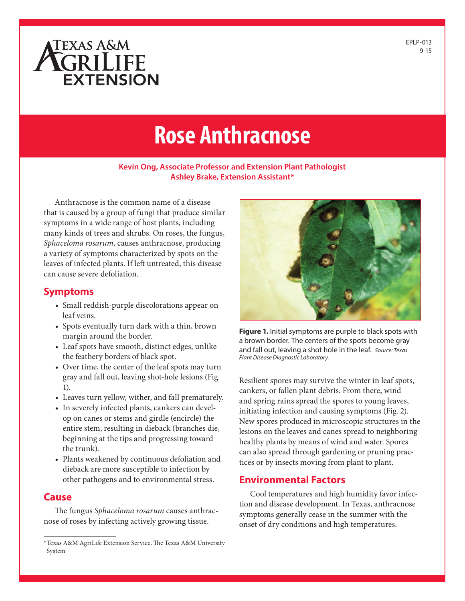# ATEXAS A&M **EXTENSION**

## **Rose Anthracnose**

#### **Kevin Ong, Associate Professor and Extension Plant Pathologist Ashley Brake, Extension Assistant\***

Anthracnose is the common name of a disease that is caused by a group of fungi that produce similar symptoms in a wide range of host plants, including many kinds of trees and shrubs. On roses, the fungus, *Sphaceloma rosarum*, causes anthracnose, producing a variety of symptoms characterized by spots on the leaves of infected plants. If left untreated, this disease can cause severe defoliation.

#### **Symptoms**

- Small reddish-purple discolorations appear on leaf veins.
- Spots eventually turn dark with a thin, brown margin around the border.
- Leaf spots have smooth, distinct edges, unlike the feathery borders of black spot.
- Over time, the center of the leaf spots may turn gray and fall out, leaving shot-hole lesions (Fig. 1).
- Leaves turn yellow, wither, and fall prematurely.
- In severely infected plants, cankers can develop on canes or stems and girdle (encircle) the entire stem, resulting in dieback (branches die, beginning at the tips and progressing toward the trunk).
- Plants weakened by continuous defoliation and dieback are more susceptible to infection by other pathogens and to environmental stress.

#### **Cause**

The fungus *Sphaceloma rosarum* causes anthracnose of roses by infecting actively growing tissue.



**Figure 1.** Initial symptoms are purple to black spots with a brown border. The centers of the spots become gray and fall out, leaving a shot hole in the leaf. *Source: Texas Plant Disease Diagnostic Laboratory.*

Resilient spores may survive the winter in leaf spots, cankers, or fallen plant debris. From there, wind and spring rains spread the spores to young leaves, initiating infection and causing symptoms (Fig. 2). New spores produced in microscopic structures in the lesions on the leaves and canes spread to neighboring healthy plants by means of wind and water. Spores can also spread through gardening or pruning practices or by insects moving from plant to plant.

#### **Environmental Factors**

Cool temperatures and high humidity favor infection and disease development. In Texas, anthracnose symptoms generally cease in the summer with the onset of dry conditions and high temperatures.

<sup>\*</sup>Texas A&M AgriLife Extension Service, The Texas A&M University System